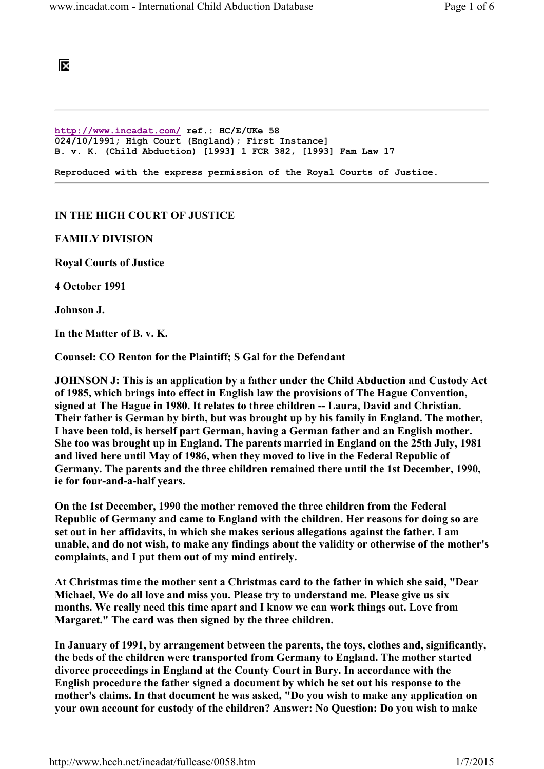## ĪХ

http://www.incadat.com/ ref.: HC/E/UKe 58 024/10/1991; High Court (England); First Instance] B. v. K. (Child Abduction) [1993] 1 FCR 382, [1993] Fam Law 17 Reproduced with the express permission of the Royal Courts of Justice.

## IN THE HIGH COURT OF JUSTICE

## FAMILY DIVISION

Royal Courts of Justice

4 October 1991

Johnson J.

In the Matter of B. v. K.

Counsel: CO Renton for the Plaintiff; S Gal for the Defendant

JOHNSON J: This is an application by a father under the Child Abduction and Custody Act of 1985, which brings into effect in English law the provisions of The Hague Convention, signed at The Hague in 1980. It relates to three children -- Laura, David and Christian. Their father is German by birth, but was brought up by his family in England. The mother, I have been told, is herself part German, having a German father and an English mother. She too was brought up in England. The parents married in England on the 25th July, 1981 and lived here until May of 1986, when they moved to live in the Federal Republic of Germany. The parents and the three children remained there until the 1st December, 1990, ie for four-and-a-half years.

On the 1st December, 1990 the mother removed the three children from the Federal Republic of Germany and came to England with the children. Her reasons for doing so are set out in her affidavits, in which she makes serious allegations against the father. I am unable, and do not wish, to make any findings about the validity or otherwise of the mother's complaints, and I put them out of my mind entirely.

At Christmas time the mother sent a Christmas card to the father in which she said, "Dear Michael, We do all love and miss you. Please try to understand me. Please give us six months. We really need this time apart and I know we can work things out. Love from Margaret." The card was then signed by the three children.

In January of 1991, by arrangement between the parents, the toys, clothes and, significantly, the beds of the children were transported from Germany to England. The mother started divorce proceedings in England at the County Court in Bury. In accordance with the English procedure the father signed a document by which he set out his response to the mother's claims. In that document he was asked, "Do you wish to make any application on your own account for custody of the children? Answer: No Question: Do you wish to make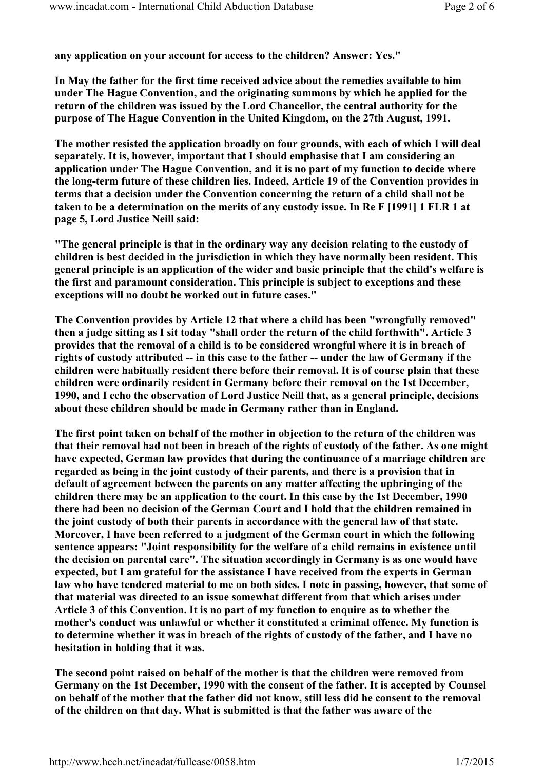any application on your account for access to the children? Answer: Yes."

In May the father for the first time received advice about the remedies available to him under The Hague Convention, and the originating summons by which he applied for the return of the children was issued by the Lord Chancellor, the central authority for the purpose of The Hague Convention in the United Kingdom, on the 27th August, 1991.

The mother resisted the application broadly on four grounds, with each of which I will deal separately. It is, however, important that I should emphasise that I am considering an application under The Hague Convention, and it is no part of my function to decide where the long-term future of these children lies. Indeed, Article 19 of the Convention provides in terms that a decision under the Convention concerning the return of a child shall not be taken to be a determination on the merits of any custody issue. In Re F [1991] 1 FLR 1 at page 5, Lord Justice Neill said:

"The general principle is that in the ordinary way any decision relating to the custody of children is best decided in the jurisdiction in which they have normally been resident. This general principle is an application of the wider and basic principle that the child's welfare is the first and paramount consideration. This principle is subject to exceptions and these exceptions will no doubt be worked out in future cases."

The Convention provides by Article 12 that where a child has been "wrongfully removed" then a judge sitting as I sit today "shall order the return of the child forthwith". Article 3 provides that the removal of a child is to be considered wrongful where it is in breach of rights of custody attributed -- in this case to the father -- under the law of Germany if the children were habitually resident there before their removal. It is of course plain that these children were ordinarily resident in Germany before their removal on the 1st December, 1990, and I echo the observation of Lord Justice Neill that, as a general principle, decisions about these children should be made in Germany rather than in England.

The first point taken on behalf of the mother in objection to the return of the children was that their removal had not been in breach of the rights of custody of the father. As one might have expected, German law provides that during the continuance of a marriage children are regarded as being in the joint custody of their parents, and there is a provision that in default of agreement between the parents on any matter affecting the upbringing of the children there may be an application to the court. In this case by the 1st December, 1990 there had been no decision of the German Court and I hold that the children remained in the joint custody of both their parents in accordance with the general law of that state. Moreover, I have been referred to a judgment of the German court in which the following sentence appears: "Joint responsibility for the welfare of a child remains in existence until the decision on parental care". The situation accordingly in Germany is as one would have expected, but I am grateful for the assistance I have received from the experts in German law who have tendered material to me on both sides. I note in passing, however, that some of that material was directed to an issue somewhat different from that which arises under Article 3 of this Convention. It is no part of my function to enquire as to whether the mother's conduct was unlawful or whether it constituted a criminal offence. My function is to determine whether it was in breach of the rights of custody of the father, and I have no hesitation in holding that it was.

The second point raised on behalf of the mother is that the children were removed from Germany on the 1st December, 1990 with the consent of the father. It is accepted by Counsel on behalf of the mother that the father did not know, still less did he consent to the removal of the children on that day. What is submitted is that the father was aware of the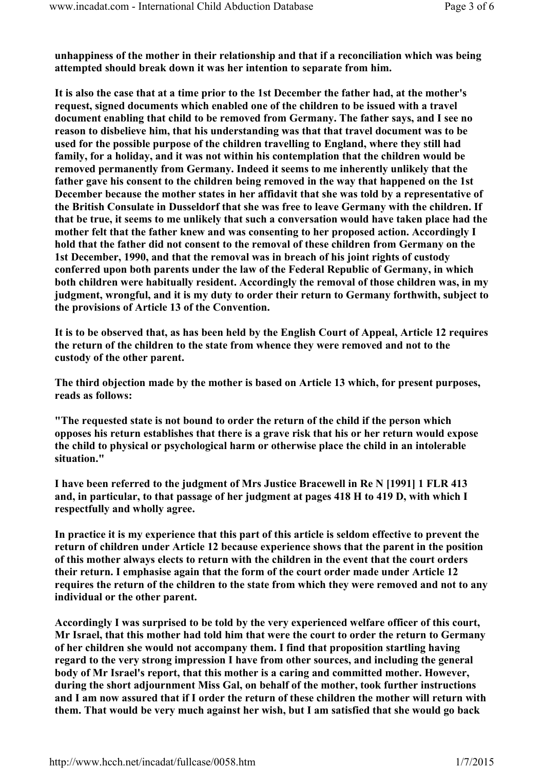unhappiness of the mother in their relationship and that if a reconciliation which was being attempted should break down it was her intention to separate from him.

It is also the case that at a time prior to the 1st December the father had, at the mother's request, signed documents which enabled one of the children to be issued with a travel document enabling that child to be removed from Germany. The father says, and I see no reason to disbelieve him, that his understanding was that that travel document was to be used for the possible purpose of the children travelling to England, where they still had family, for a holiday, and it was not within his contemplation that the children would be removed permanently from Germany. Indeed it seems to me inherently unlikely that the father gave his consent to the children being removed in the way that happened on the 1st December because the mother states in her affidavit that she was told by a representative of the British Consulate in Dusseldorf that she was free to leave Germany with the children. If that be true, it seems to me unlikely that such a conversation would have taken place had the mother felt that the father knew and was consenting to her proposed action. Accordingly I hold that the father did not consent to the removal of these children from Germany on the 1st December, 1990, and that the removal was in breach of his joint rights of custody conferred upon both parents under the law of the Federal Republic of Germany, in which both children were habitually resident. Accordingly the removal of those children was, in my judgment, wrongful, and it is my duty to order their return to Germany forthwith, subject to the provisions of Article 13 of the Convention.

It is to be observed that, as has been held by the English Court of Appeal, Article 12 requires the return of the children to the state from whence they were removed and not to the custody of the other parent.

The third objection made by the mother is based on Article 13 which, for present purposes, reads as follows:

"The requested state is not bound to order the return of the child if the person which opposes his return establishes that there is a grave risk that his or her return would expose the child to physical or psychological harm or otherwise place the child in an intolerable situation."

I have been referred to the judgment of Mrs Justice Bracewell in Re N [1991] 1 FLR 413 and, in particular, to that passage of her judgment at pages 418 H to 419 D, with which I respectfully and wholly agree.

In practice it is my experience that this part of this article is seldom effective to prevent the return of children under Article 12 because experience shows that the parent in the position of this mother always elects to return with the children in the event that the court orders their return. I emphasise again that the form of the court order made under Article 12 requires the return of the children to the state from which they were removed and not to any individual or the other parent.

Accordingly I was surprised to be told by the very experienced welfare officer of this court, Mr Israel, that this mother had told him that were the court to order the return to Germany of her children she would not accompany them. I find that proposition startling having regard to the very strong impression I have from other sources, and including the general body of Mr Israel's report, that this mother is a caring and committed mother. However, during the short adjournment Miss Gal, on behalf of the mother, took further instructions and I am now assured that if I order the return of these children the mother will return with them. That would be very much against her wish, but I am satisfied that she would go back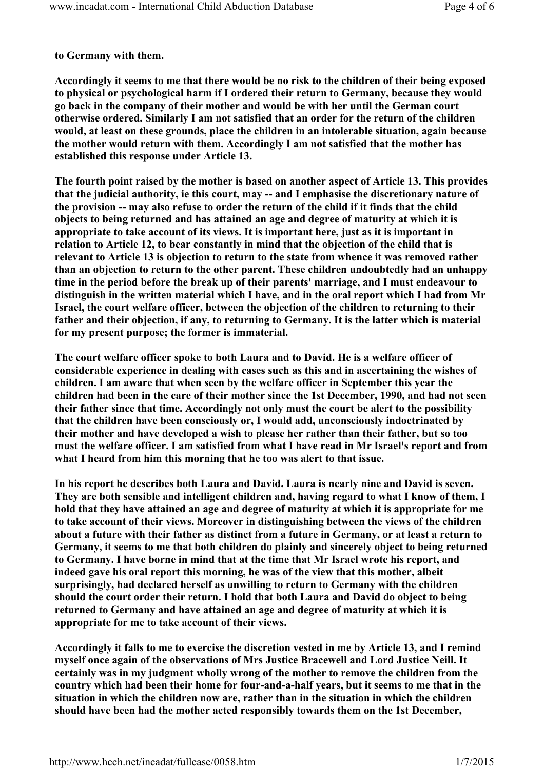to Germany with them.

Accordingly it seems to me that there would be no risk to the children of their being exposed to physical or psychological harm if I ordered their return to Germany, because they would go back in the company of their mother and would be with her until the German court otherwise ordered. Similarly I am not satisfied that an order for the return of the children would, at least on these grounds, place the children in an intolerable situation, again because the mother would return with them. Accordingly I am not satisfied that the mother has established this response under Article 13.

The fourth point raised by the mother is based on another aspect of Article 13. This provides that the judicial authority, ie this court, may -- and I emphasise the discretionary nature of the provision -- may also refuse to order the return of the child if it finds that the child objects to being returned and has attained an age and degree of maturity at which it is appropriate to take account of its views. It is important here, just as it is important in relation to Article 12, to bear constantly in mind that the objection of the child that is relevant to Article 13 is objection to return to the state from whence it was removed rather than an objection to return to the other parent. These children undoubtedly had an unhappy time in the period before the break up of their parents' marriage, and I must endeavour to distinguish in the written material which I have, and in the oral report which I had from Mr Israel, the court welfare officer, between the objection of the children to returning to their father and their objection, if any, to returning to Germany. It is the latter which is material for my present purpose; the former is immaterial.

The court welfare officer spoke to both Laura and to David. He is a welfare officer of considerable experience in dealing with cases such as this and in ascertaining the wishes of children. I am aware that when seen by the welfare officer in September this year the children had been in the care of their mother since the 1st December, 1990, and had not seen their father since that time. Accordingly not only must the court be alert to the possibility that the children have been consciously or, I would add, unconsciously indoctrinated by their mother and have developed a wish to please her rather than their father, but so too must the welfare officer. I am satisfied from what I have read in Mr Israel's report and from what I heard from him this morning that he too was alert to that issue.

In his report he describes both Laura and David. Laura is nearly nine and David is seven. They are both sensible and intelligent children and, having regard to what I know of them, I hold that they have attained an age and degree of maturity at which it is appropriate for me to take account of their views. Moreover in distinguishing between the views of the children about a future with their father as distinct from a future in Germany, or at least a return to Germany, it seems to me that both children do plainly and sincerely object to being returned to Germany. I have borne in mind that at the time that Mr Israel wrote his report, and indeed gave his oral report this morning, he was of the view that this mother, albeit surprisingly, had declared herself as unwilling to return to Germany with the children should the court order their return. I hold that both Laura and David do object to being returned to Germany and have attained an age and degree of maturity at which it is appropriate for me to take account of their views.

Accordingly it falls to me to exercise the discretion vested in me by Article 13, and I remind myself once again of the observations of Mrs Justice Bracewell and Lord Justice Neill. It certainly was in my judgment wholly wrong of the mother to remove the children from the country which had been their home for four-and-a-half years, but it seems to me that in the situation in which the children now are, rather than in the situation in which the children should have been had the mother acted responsibly towards them on the 1st December,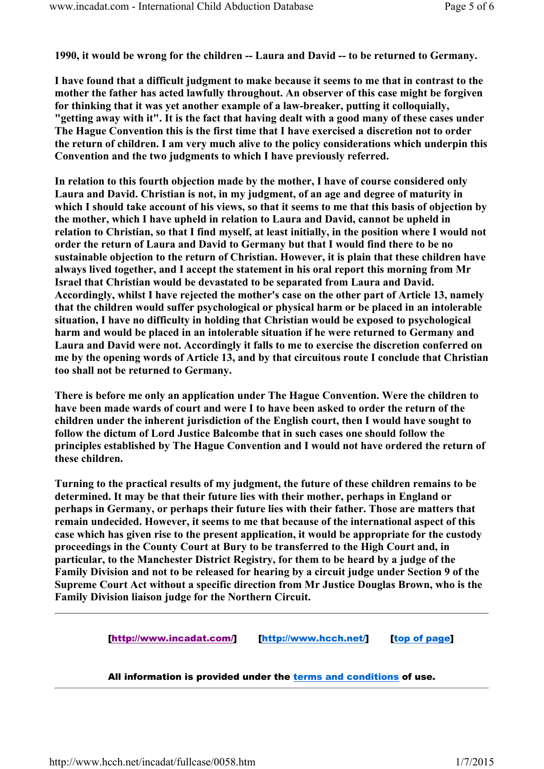1990, it would be wrong for the children -- Laura and David -- to be returned to Germany.

I have found that a difficult judgment to make because it seems to me that in contrast to the mother the father has acted lawfully throughout. An observer of this case might be forgiven for thinking that it was yet another example of a law-breaker, putting it colloquially, "getting away with it". It is the fact that having dealt with a good many of these cases under The Hague Convention this is the first time that I have exercised a discretion not to order the return of children. I am very much alive to the policy considerations which underpin this Convention and the two judgments to which I have previously referred.

In relation to this fourth objection made by the mother, I have of course considered only Laura and David. Christian is not, in my judgment, of an age and degree of maturity in which I should take account of his views, so that it seems to me that this basis of objection by the mother, which I have upheld in relation to Laura and David, cannot be upheld in relation to Christian, so that I find myself, at least initially, in the position where I would not order the return of Laura and David to Germany but that I would find there to be no sustainable objection to the return of Christian. However, it is plain that these children have always lived together, and I accept the statement in his oral report this morning from Mr Israel that Christian would be devastated to be separated from Laura and David. Accordingly, whilst I have rejected the mother's case on the other part of Article 13, namely that the children would suffer psychological or physical harm or be placed in an intolerable situation, I have no difficulty in holding that Christian would be exposed to psychological harm and would be placed in an intolerable situation if he were returned to Germany and Laura and David were not. Accordingly it falls to me to exercise the discretion conferred on me by the opening words of Article 13, and by that circuitous route I conclude that Christian too shall not be returned to Germany.

There is before me only an application under The Hague Convention. Were the children to have been made wards of court and were I to have been asked to order the return of the children under the inherent jurisdiction of the English court, then I would have sought to follow the dictum of Lord Justice Balcombe that in such cases one should follow the principles established by The Hague Convention and I would not have ordered the return of these children.

Turning to the practical results of my judgment, the future of these children remains to be determined. It may be that their future lies with their mother, perhaps in England or perhaps in Germany, or perhaps their future lies with their father. Those are matters that remain undecided. However, it seems to me that because of the international aspect of this case which has given rise to the present application, it would be appropriate for the custody proceedings in the County Court at Bury to be transferred to the High Court and, in particular, to the Manchester District Registry, for them to be heard by a judge of the Family Division and not to be released for hearing by a circuit judge under Section 9 of the Supreme Court Act without a specific direction from Mr Justice Douglas Brown, who is the Family Division liaison judge for the Northern Circuit.

[http://www.incadat.com/] [http://www.hcch.net/] [top of page]

All information is provided under the terms and conditions of use.